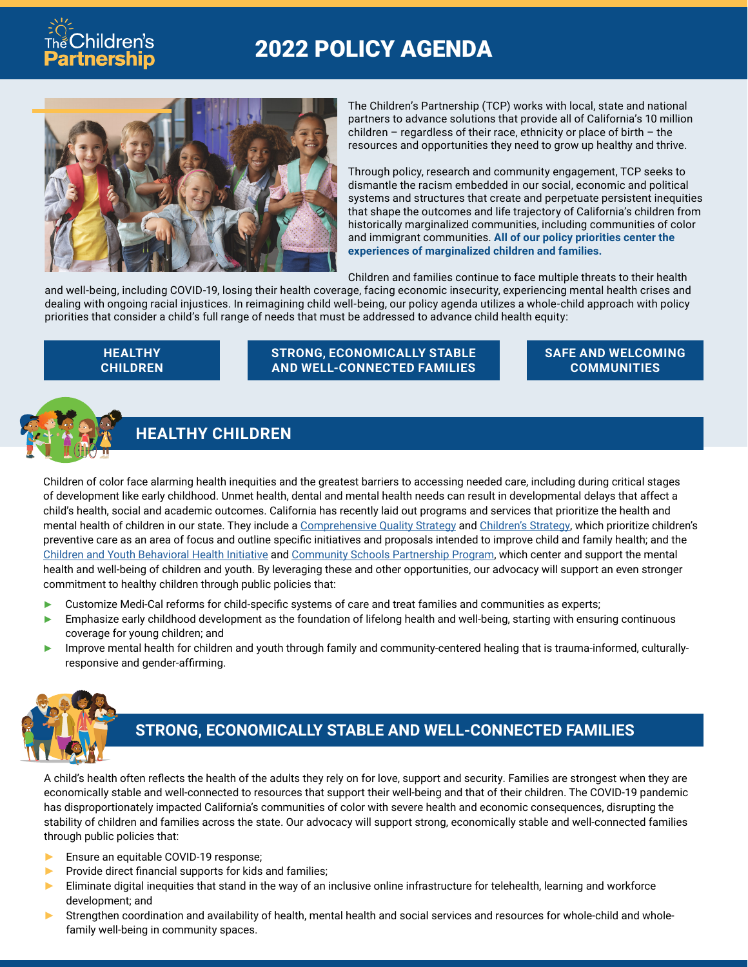# 2022 POLICY AGENDA



The Children's Partnership (TCP) works with local, state and national partners to advance solutions that provide all of California's 10 million children – regardless of their race, ethnicity or place of birth – the resources and opportunities they need to grow up healthy and thrive.

Through policy, research and community engagement, TCP seeks to dismantle the racism embedded in our social, economic and political systems and structures that create and perpetuate persistent inequities that shape the outcomes and life trajectory of California's children from historically marginalized communities, including communities of color and immigrant communities. **All of our policy priorities center the experiences of marginalized children and families.**

Children and families continue to face multiple threats to their health

and well-being, including COVID-19, losing their health coverage, facing economic insecurity, experiencing mental health crises and dealing with ongoing racial injustices. In reimagining child well-being, our policy agenda utilizes a whole-child approach with policy priorities that consider a child's full range of needs that must be addressed to advance child health equity:

#### **HEALTHY CHILDREN**

hildren's

**Partnership** 

**STRONG, ECONOMICALLY STABLE AND WELL-CONNECTED FAMILIES**

#### **SAFE AND WELCOMING COMMUNITIES**



### **HEALTHY CHILDREN**

Children of color face alarming health inequities and the greatest barriers to accessing needed care, including during critical stages of development like early childhood. Unmet health, dental and mental health needs can result in developmental delays that affect a child's health, social and academic outcomes. California has recently laid out programs and services that prioritize the health and mental health of children in our state. They include a [Comprehensive Quality Strategy](https://www.dhcs.ca.gov/services/Documents/Formatted-Combined-CQS-2-4-22.pdf) and [Children's Strategy,](https://www.dhcs.ca.gov/Documents/DHCS-Medi-Cal%27s-Strategy-to-Support-Health-and-Opportunity-for-Children-and-Families.pdf) which prioritize children's preventive care as an area of focus and outline specific initiatives and proposals intended to improve child and family health; and the [Children and Youth Behavioral Health Initiative](https://www.chhs.ca.gov/home/children-and-youth-behavioral-health-initiative/) and [Community Schools Partnership Program,](https://www.cde.ca.gov/ci/gs/hs/ccspp.asp) which center and support the mental health and well-being of children and youth. By leveraging these and other opportunities, our advocacy will support an even stronger commitment to healthy children through public policies that:

- ► Customize Medi-Cal reforms for child-specific systems of care and treat families and communities as experts;
- ► Emphasize early childhood development as the foundation of lifelong health and well-being, starting with ensuring continuous coverage for young children; and
- ► Improve mental health for children and youth through family and community-centered healing that is trauma-informed, culturallyresponsive and gender-affirming.



#### **STRONG, ECONOMICALLY STABLE AND WELL-CONNECTED FAMILIES**

A child's health often reflects the health of the adults they rely on for love, support and security. Families are strongest when they are economically stable and well-connected to resources that support their well-being and that of their children. The COVID-19 pandemic has disproportionately impacted California's communities of color with severe health and economic consequences, disrupting the stability of children and families across the state. Our advocacy will support strong, economically stable and well-connected families through public policies that:

- ► Ensure an equitable COVID-19 response;
- ▶ Provide direct financial supports for kids and families;
- ► Eliminate digital inequities that stand in the way of an inclusive online infrastructure for telehealth, learning and workforce development; and
- ► Strengthen coordination and availability of health, mental health and social services and resources for whole-child and wholefamily well-being in community spaces.